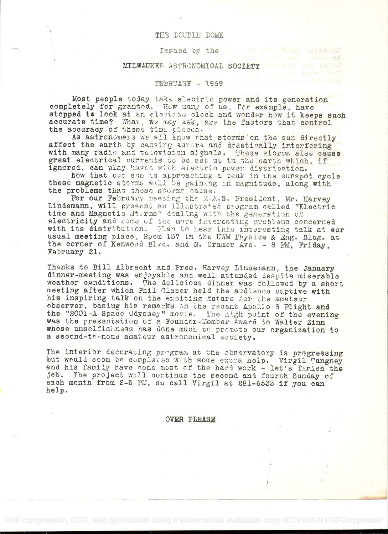#### THE DOUBLE DOME

### Issued by the

on William aniband

BTAN YE

# MILWAUKEE ASTRONOMICAL SOCIETY MARIE

## FEBRUARY - 1969

Most people today take electric power and its generation completely for granted. How many of us, for example, have stopped to look at an slastrike clock and wonder how it keeps such accurate time? What, we may ask, are the factors that control the accuracy of these time pieces.

As astronomers we all know that storms on the sun directly affect the earth by causing aurora and drastically interfering with many radio and talevision signals. These storms also cause great electrical currents to be set up in the earth which. if ignored, can play haves with electric power distribution.

Now that our sun is approaching a peak in the sunspot cycle these magnetic storms will be gaining in magnitude, along with the problems that these storms cause.

For our February maering the M.A.S. President, Mr. Harvey Lindemann, will present an illustrated program called "Electric time and Magnetic Sterms" dealing with the generation of electricity and some of the more inveresting problems concerned with its distribution. Plan to hear this interesting talk at our usual meeting place, Room 137 in the UWM Physics & Eng. Blag. at the corner of Kenwood Blvd. and N. Cramer Ave. - 8 PM, Friday, February 21.

Thanks to Bill Albrecht and Pres. Harvey Lindemann, the January dinner-meeting was enjoyable and well attended despite miserable weather conditions. The delicious dinner was followed by a short meeting after which Phil Claser held the audience captive with his inspiring talk on the exciting future for the amateur observer, basing his remarks on the recent Apollo 8 Flight and the "2001-A Space Odyssey" movie. The nigh point of the evening was the presentation of a Founder-Member Award to Walter Zinn whose unselfishness has done much to premote our organization to a second-to-none amateur astronomical society.

The interior decorating program at the observatory is pregressing but weuld soon be complated with some extra help. Virgil Tangney and his family have done most of the hard work - let's finish the The project will continue the second and fourth Sunday of  $10<sub>b</sub>$ each month from 2-5 PM, so call Virgil at 281-6533 if you can help.

### **OVER PLEASE**